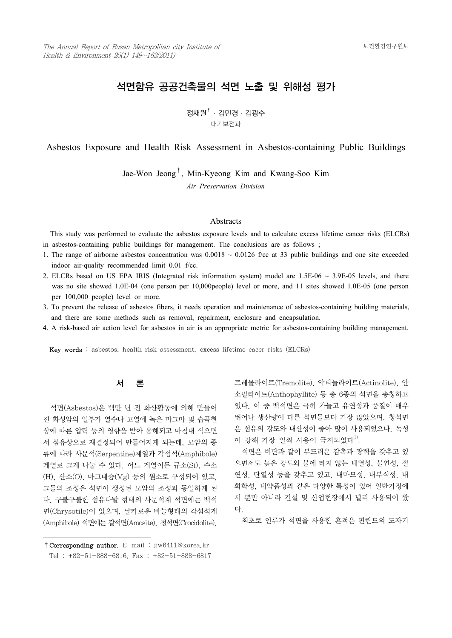# 석면함유 공공건축물의 석면 노출 및 위해성 평가

정재원†·김민경·김광수 대기보전과

Asbestos Exposure and Health Risk Assessment in Asbestos-containing Public Buildings

Jae-Won Jeong† , Min-Kyeong Kim and Kwang-Soo Kim *Air Preservation Division*

### **Abstracts**

 This study was performed to evaluate the asbestos exposure levels and to calculate excess lifetime cancer risks (ELCRs) in asbestos-containing public buildings for management. The conclusions are as follows ;

- 1. The range of airborne asbestos concentration was  $0.0018 \sim 0.0126$  f/cc at 33 public buildings and one site exceeded indoor air-quality recommended limit 0.01 f/cc.
- 2. ELCRs based on US EPA IRIS (Integrated risk information system) model are  $1.5E-06 \sim 3.9E-05$  levels, and there was no site showed 1.0E-04 (one person per 10,000people) level or more, and 11 sites showed 1.0E-05 (one person per 100,000 people) level or more.
- 3. To prevent the release of asbestos fibers, it needs operation and maintenance of asbestos-containing building materials, and there are some methods such as removal, repairment, enclosure and encapsulation.
- 4. A risk-based air action level for asbestos in air is an appropriate metric for asbestos-containing building management.

Key words : asbestos, health risk assessment, excess lifetime cacer risks (ELCRs)

# 서 론

 석면(Asbestos)은 백만 년 전 화산활동에 의해 만들어 진 화성암의 일부가 열수나 고열에 녹은 마그마 및 습곡현 상에 따른 압력 등의 영향을 받아 용해되고 마침내 식으면 서 섬유상으로 재결정되어 만들어지게 되는데, 모암의 종 류에 따라 사문석(Serpentine)계열과 각섬석(Amphibole) 계열로 크게 나눌 수 있다. 어느 계열이든 규소(Si), 수소 (H), 산소(O), 마그네슘(Mg) 등의 원소로 구성되어 있고,<br>그들의 조성은 석면이 생성된 모암의 조성과 동일하게 된 다. 구불구불한 섬유다발 형태의 사문석계 석면에는 백석 면(Chrysotile)이 있으며, 날카로운 바늘형태의 각섬석계 (Amphibole) 석면에는 갈석면(Amosite), 청석면(Crocidolite),

 석면은 비단과 같이 부드러운 감촉과 광택을 갖추고 있 으면서도 높은 강도와 불에 타지 않는 내열성, 불연성, 절 연성, 단열성 등을 갖추고 있고, 내마모성, 내부식성, 내 화학성, 내약품성과 같은 다양한 특성이 있어 일반가정에 서 뿐만 아니라 건설 및 산업현장에서 널리 사용되어 왔 다.

최초로 인류가 석면을 사용한 흔적은 핀란드의 도자기

트레몰라이트(Tremolite), 악티놀라이트(Actinolite), 안 소필라이트(Anthophyllite) 등 총 6종의 석면을 총칭하고 있다. 이 중 백석면은 극히 가늘고 유연성과 품질이 매우 뛰어나 생산량이 다른 석면들보다 가장 많았으며, 청석면 은 섬유의 강도와 내산성이 좋아 많이 사용되었으나, 독성 이 강해 가장 일찍 사용이 금지되었다<sup>1)</sup>.

<sup>†</sup>Corresponding author. E-mail : jjw6411@korea.kr Tel : +82-51-888-6816, Fax : +82-51-888-6817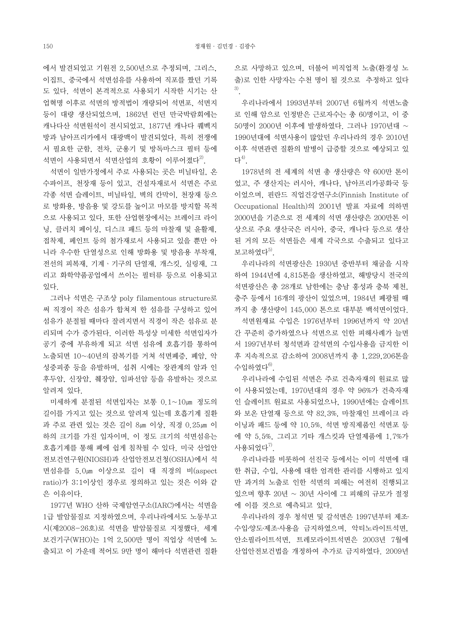에서 발견되었고 기원전 2,500년으로 추정되며, 그리스,<br>이집트, 중국에서 석면섬유를 사용하여 직포를 짰던 기록 도 있다. 석면이 본격적으로 사용되기 시작한 시기는 산 업혁명 이후로 석면의 방적법이 개량되어 석면포, 석면지 등이 대량 생산되었으며, 1862년 런던 만국박람회에는 캐나다산 석면원석이 전시되었고, 1877년 캐나다 퀘벡지 - 50명이 2000년 이후에 발생하였다. 그러나 1970년대 ~ 방과 남아프리카에서 대광맥이 발견되었다. 특히 전쟁에 서 필요한 군함, 전차, 군용기 및 방독마스크 필터 등에 석면이 사용되면서 석면산업의 호황이 이루어졌다<sup>2)</sup>.

 석면이 일반가정에서 주로 사용되는 곳은 비닐타일, 온 수파이프, 천장재 등이 있고, 건설자재로서 석면은 주로 각종 석면 슬레이트, 비닐타일, 벽의 칸막이, 천장재 등으 로 방화용, 방음용 및 강도를 높이고 마모를 방지할 목적 으로 사용되고 있다. 또한 산업현장에서는 브레이크 라이 닝, 클러치 페이싱, 디스크 패드 등의 마찰재 및 윤활제,<br>접착제. 페인트 등의 첨가재로서 사용되고 있을 뿐만 아 니라 우수한 단열성으로 인해 방화용 및 방음용 부착재,<br>전선의 피복재, 기계ㆍ기구의 단열재, 개스킷, 실링재, 그 리고 화학약품공업에서 쓰이는 필터류 등으로 이용되고 있다.

써 직경이 작은 섬유가 합쳐져 한 섬유를 구성하고 있어 섬유가 분절될 때마다 잘려지면서 직경이 작은 섬유로 분 리되며 수가 증가된다. 이러한 특성상 미세한 석면입자가 공기 중에 부유하게 되고 석면 섬유에 호흡기를 통하여 노출되면 10~40년의 잠복기를 거쳐 석면폐증, 폐암, 악 성중피종 등을 유발하며, 섭취 시에는 장관계의 암과 인 후두암, 신장암, 췌장암, 임파선암 등을 유발하는 것으로 알려져 있다.

 미세하게 분절된 석면입자는 보통 0.1~10㎛ 정도의 길이를 가지고 있는 것으로 알려져 있는데 호흡기계 질환 과 주로 관련 있는 것은 길이 8㎛ 이상, 직경 0.25㎛ 이 하의 크기를 가진 입자이며, 이 정도 크기의 석면섬유는 호흡기계를 통해 폐에 쉽게 침착될 수 있다. 미국 산업안 전보건연구원(NIOSH)과 산업안전보건청(OSHA)에서 석 면섬유를 5.0㎛ 이상으로 길이 대 직경의 비(aspect ratio)가 3:1이상인 경우로 정의하고 있는 것은 이와 같 은 이유이다.

 1977년 WHO 산하 국제암연구소(IARC)에서는 석면을 1급 발암물질로 지정하였으며, 우리나라에서도 노동부고 시(제2008-26호)로 석면을 발암물질로 지정했다. 세계 보건기구(WHO)는 1억 2,500만 명이 직업상 석면에 노 출되고 이 가운데 적어도 9만 명이 해마다 석면관련 질환

으로 사망하고 있으며, 더불어 비직업적 노출(환경성 노 출)로 인한 사망자는 수천 명이 될 것으로 추정하고 있다 3).

 우리나라에서 1993년부터 2007년 6월까지 석면노출 로 인해 암으로 인정받은 근로자수는 총 60명이고, 이 중 1990년대에 석면사용이 많았던 우리나라의 경우 2010년 이후 석면관련 질환의 발병이 급증할 것으로 예상되고 있 다 $^{4)}$ .

 1978년의 전 세계의 석면 총 생산량은 약 600만 톤이 었고, 주 생산지는 러시아, 캐나다, 남아프리카공화국 등 이었으며, 핀란드 직업건강연구소(Finnish Institute of Occupational Health)의 2001년 발표 자료에 의하면 2000년을 기준으로 전 세계의 석면 생산량은 200만톤 이 상으로 주요 생산국은 러시아, 중국, 캐나다 등으로 생산 된 거의 모든 석면들은 세계 각국으로 수출되고 있다고 보고하였다 $5$ ).

그러나 석면은 구조상 poly filamentous structure로 \_\_\_ 충주 등에서 16개의 광산이 있었으며, 1984년 폐광될 때 우리나라의 석면광산은 1930년 중반부터 채굴을 시작 하여 1944년에 4,815톤을 생산하였고, 해방당시 전국의 석면광산은 총 28개로 남한에는 충남 홍성과 충북 제천, 까지 총 생산량이 145,000 톤으로 대부분 백석면이었다.

> 석면원재료 수입은 1976년부터 1996년까지 약 20년 간 꾸준히 증가하였으나 석면으로 인한 피해사례가 늘면 서 1997년부터 청석면과 갈석면의 수입사용을 금지한 이 후 지속적으로 감소하여 2008년까지 총 1,229,206톤을 수입하였다 $^{6)}$ .

> 우리나라에 수입된 석면은 주로 건축자재의 원료로 많 이 사용되었는데, 1970년대의 경우 약 96%가 건축자재 인 슬레이트 원료로 사용되었으나, 1990년에는 슬레이트 와 보온 단열재 등으로 약 82.3%, 마찰재인 브레이크 라 이닝과 패드 등에 약 10.5%, 석면 방직제품인 석면포 등 에 약 5.5%, 그리고 기타 개스킷과 단열제품에 1.7%가 사용되었다 $^{7}$ .

> 우리나라를 비롯하여 선진국 등에서는 이미 석면에 대 한 취급, 수입, 사용에 대한 엄격한 관리를 시행하고 있지 만 과거의 노출로 인한 석면의 피해는 여전히 진행되고 있으며 향후 20년 ~ 30년 사이에 그 피해의 규모가 절정 에 이를 것으로 예측되고 있다.

> 우리나라의 경우 청석면 및 갈석면은 1997년부터 제조․ 수입·양도·제조·사용을 금지하였으며, 악티노라이트석면, 산업안전보건법을 개정하여 추가로 금지하였다. 2009년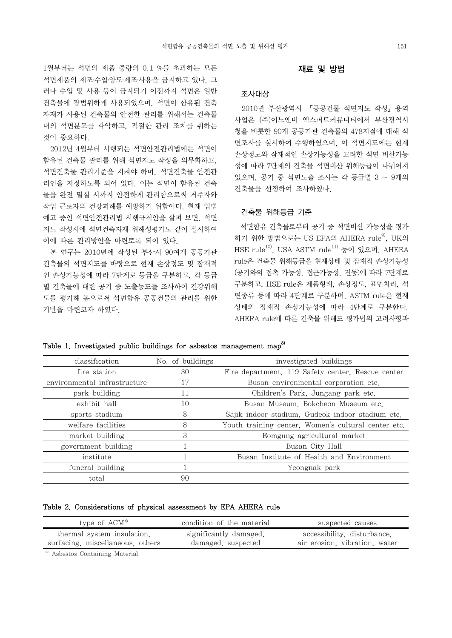1월부터는 석면의 제품 중량의 0.1 %를 초과하는 모든 석면제품의 제조․수입․양도․제조․사용을 금지하고 있다. 그 러나 수입 및 사용 등이 금지되기 이전까지 석면은 일반 건축물에 광범위하게 사용되었으며, 석면이 함유된 건축 자재가 사용된 건축물의 안전한 관리를 위해서는 건축물 내의 석면분포를 파악하고, 적절한 관리 조치를 취하는 것이 중요하다.

 2012년 4월부터 시행되는 석면안전관리법에는 석면이 함유된 건축물 관리를 위해 석면지도 작성을 의무화하고,<br>석면건축물 관리기준을 지켜야 하며, 석면건축물 안전관 리인을 지정하도록 되어 있다. 이는 석면이 함유된 건축 물을 완전 멸실 시까지 안전하게 관리함으로써 거주자와 작업 근로자의 건강피해를 예방하기 위함이다. 현재 입법 예고 중인 석면안전관리법 시행규칙안을 살펴 보면, 석면 지도 작성시에 석면건축자재 위해성평가도 같이 실시하여 이에 따른 관리방안을 마련토록 되어 있다.

 본 연구는 2010년에 작성된 부산시 90여개 공공기관 건축물의 석면지도를 바탕으로 현재 손상정도 및 잠재적 인 손상가능성에 따라 7단계로 등급을 구분하고, 각 등급 별 건축물에 대한 공기 중 노출농도를 조사하여 건강위해 도를 평가해 봄으로써 석면함유 공공건물의 관리를 위한 기반을 마련코자 하였다.

### 재료 및 방법

### 조사대상

 2010년 부산광역시 『공공건물 석면지도 작성』용역 사업은 (주)이노엔비 엑스퍼트커뮤니티에서 부산광역시 청을 비롯한 90개 공공기관 건축물의 478지점에 대해 석 면조사를 실시하여 수행하였으며, 이 석면지도에는 현재 손상정도와 잠재적인 손상가능성을 고려한 석면 비산가능 성에 따라 7단계의 건축물 석면비산 위해등급이 나뉘어져 있으며, 공기 중 석면노출 조사는 각 등급별 3 ~ 9개의 건축물을 선정하여 조사하였다.

### 건축물 위해등급 기준

 석면함유 건축물로부터 공기 중 석면비산 가능성을 평가 하기 위한 방법으로는 US EPA의 AHERA rule<sup>9)</sup>, UK의 HSE rule<sup>10</sup>, USA ASTM rule<sup>11)</sup> 등이 있으며, AHERA rule은 건축물 위해등급을 현재상태 및 잠재적 손상가능성 (공기와의 접촉 가능성, 접근가능성, 진동)에 따라 7단계로 구분하고, HSE rule은 제품형태, 손상정도, 표면처리, 석 면종류 등에 따라 4단계로 구분하며, ASTM rule은 현재 상태와 잠재적 손상가능성에 따라 4단계로 구분한다.<br>AHERA rule에 따른 건축물 위해도 평가법의 고려사항과

| classification               | No. of buildings | investigated buildings                              |  |  |  |  |  |
|------------------------------|------------------|-----------------------------------------------------|--|--|--|--|--|
| fire station                 | 30               | Fire department, 119 Safety center, Rescue center   |  |  |  |  |  |
| environmental infrastructure | 17               | Busan environmental corporation etc.                |  |  |  |  |  |
| park building                | 11               | Children's Park, Jungang park etc.                  |  |  |  |  |  |
| exhibit hall                 | 10               | Busan Museum, Bokcheon Museum etc.                  |  |  |  |  |  |
| sports stadium               | 8                | Sajik indoor stadium, Gudeok indoor stadium etc.    |  |  |  |  |  |
| welfare facilities           | 8                | Youth training center, Women's cultural center etc. |  |  |  |  |  |
| market building              | З                | Eomgung agricultural market                         |  |  |  |  |  |
| government building          |                  | Busan City Hall                                     |  |  |  |  |  |
| institute                    |                  | Busan Institute of Health and Environment           |  |  |  |  |  |
| funeral building             |                  | Yeongnak park                                       |  |  |  |  |  |
| total                        | 90               |                                                     |  |  |  |  |  |

Table 1. Investigated public buildings for asbestos management map<sup>8)</sup>

Table 2. Considerations of physical assessment by EPA AHERA rule

| type of ACM*                     | condition of the material | suspected causes              |  |  |  |  |
|----------------------------------|---------------------------|-------------------------------|--|--|--|--|
| thermal system insulation.       | significantly damaged.    | accessibility, disturbance.   |  |  |  |  |
| surfacing, miscellaneous, others | damaged, suspected        | air erosion, vibration, water |  |  |  |  |

\* Asbestos Containing Material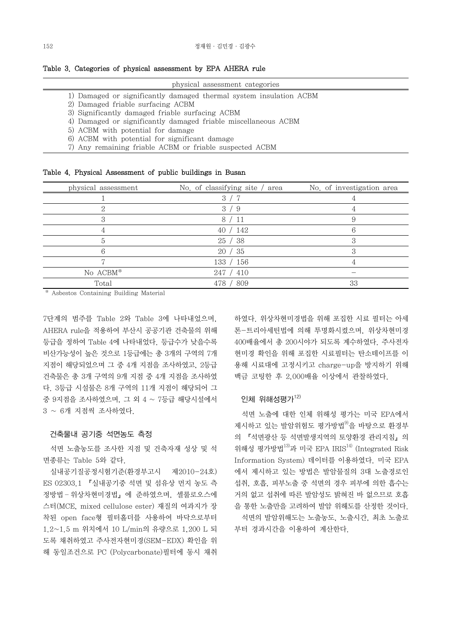Table 3. Categories of physical assessment by EPA AHERA rule

#### physical assessment categories

1) Damaged or significantly damaged thermal system insulation ACBM

2) Damaged friable surfacing ACBM

3) Significantly damaged friable surfacing ACBM

4) Damaged or significantly damaged friable miscellaneous ACBM

5) ACBM with potential for damage

6) ACBM with potential for significant damage

7) Any remaining friable ACBM or friable suspected ACBM

| Table 4. Physical Assessment of public buildings in Busan |  |  |  |  |
|-----------------------------------------------------------|--|--|--|--|
|-----------------------------------------------------------|--|--|--|--|

| physical assessment | No. of classifying site / area | No. of investigation area |
|---------------------|--------------------------------|---------------------------|
|                     |                                |                           |
|                     | 3<br>- 9                       |                           |
|                     | 8<br>′ 11                      |                           |
|                     | 40 / 142                       | ĥ                         |
|                     | 38<br>25                       | €                         |
|                     | / 35<br>20                     |                           |
|                     | 133 / 156                      |                           |
| No ACBM*            | 247 / 410                      |                           |
| Total               | 809<br>478                     | 33                        |

\* Asbestos Containing Building Material

7단계의 범주를 Table 2와 Table 3에 나타내었으며,<br>AHERA rule을 적용하여 부산시 공공기관 건축물의 위해 등급을 정하여 Table 4에 나타내었다. 등급수가 낮을수록 비산가능성이 높은 것으로 1등급에는 총 3개의 구역의 7개 지점이 해당되었으며 그 중 4개 지점을 조사하였고, 2등급 건축물은 총 3개 구역의 9개 지점 중 4개 지점을 조사하였 다. 3등급 시설물은 8개 구역의 11개 지점이 해당되어 그 중 9지점을 조사하였으며, 그 외 4 ~ 7등급 해당시설에서 3 ~ 6개 지점씩 조사하였다.

## 건축물내 공기중 석면농도 측정

 석면 노출농도를 조사한 지점 및 건축자재 성상 및 석 면종류는 Table 5와 같다.

 실내공기질공정시험기준(환경부고시 제2010-24호) ES 02303.1 『실내공기중 석면 및 섬유상 먼지 농도 측 정방법-위상차현미경법」에 준하였으며, 셀룰로오스에 스터(MCE, mixed cellulose ester) 재질의 여과지가 장 착된 open face형 필터홀더를 사용하여 바닥으로부터 1.2~1.5 m 위치에서 10 L/min의 유량으로 1,200 L 되 도록 채취하였고 주사전자현미경(SEM-EDX) 확인을 위 해 동일조건으로 PC (Polycarbonate)필터에 동시 채취

하였다. 위상차현미경법을 위해 포집한 시료 필터는 아세 톤-트리아세틴법에 의해 투명화시켰으며, 위상차현미경 400배율에서 총 200시야가 되도록 계수하였다. 주사전자 현미경 확인을 위해 포집한 시료필터는 탄소테이프를 이 용해 시료대에 고정시키고 charge-up을 방지하기 위해 백금 코팅한 후 2,000배율 이상에서 관찰하였다.

# 인체 위해성평가 $12$

 석면 노출에 대한 인체 위해성 평가는 미국 EPA에서 제시하고 있는 발암위험도 평가방법<sup>9)</sup>을 바탕으로 환경부 의 『석면광산 등 석면발생지역의 토양환경 관리지침』의 위해성 평가방법 $^{13}$ 과 미국 EPA IRIS $^{14)}$  (Integrated Risk Information System) 데이터를 이용하였다. 미국 EPA 에서 제시하고 있는 방법은 발암물질의 3대 노출경로인 섭취, 호흡, 피부노출 중 석면의 경우 피부에 의한 흡수는 거의 없고 섭취에 따른 발암성도 밝혀진 바 없으므로 호흡 을 통한 노출만을 고려하여 발암 위해도를 산정한 것이다. 석면의 발암위해도는 노출농도, 노출시간, 최초 노출로 부터 경과시간을 이용하여 계산한다.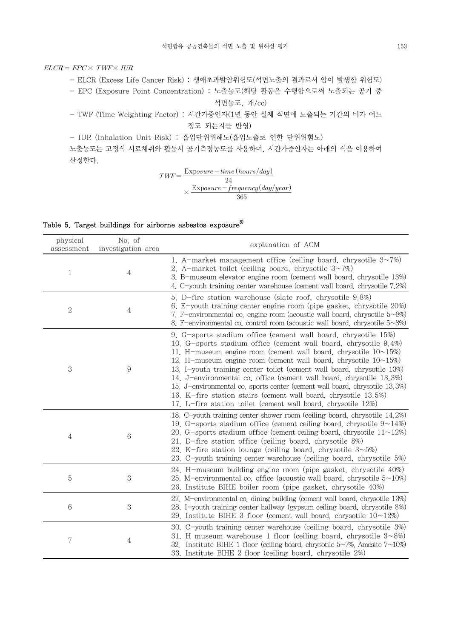# $ELCR = EPC \times TWF \times IUR$

- ELCR (Excess Life Cancer Risk) : 생애초과발암위험도(석면노출의 결과로서 암이 발생할 위험도)

- EPC (Exposure Point Concentration) : 노출농도(해당 활동을 수행함으로써 노출되는 공기 중 석면농도, 개/cc)

- TWF (Time Weighting Factor) : 시간가중인자(1년 동안 실제 석면에 노출되는 기간의 비가 어느 정도 되는지를 반영)

- IUR (Inhalation Unit Risk) : 흡입단위위해도(흡입노출로 인한 단위위험도)

노출농도는 고정식 시료채취와 활동시 공기측정농도를 사용하며, 시간가중인자는 아래의 식을 이용하여 산정한다.

 Exp × Exp

# Table 5. Target buildings for airborne asbestos exposure<sup>8)</sup>

| physical<br>assessment | No. of<br>investigation area | explanation of ACM                                                                                                                                                                                                                                                                                                                                                                                                                                                                                                                                                                                                                                          |
|------------------------|------------------------------|-------------------------------------------------------------------------------------------------------------------------------------------------------------------------------------------------------------------------------------------------------------------------------------------------------------------------------------------------------------------------------------------------------------------------------------------------------------------------------------------------------------------------------------------------------------------------------------------------------------------------------------------------------------|
| $\mathbf{1}$           | $\overline{4}$               | 1. A-market management office (ceiling board, chrysotile $3\sim 7\%$ )<br>2. A-market toilet (ceiling board, chrysotile $3~1$ %)<br>3. B-museum elevator engine room (cement wall board, chrysotile 13%)<br>4. C-youth training center warehouse (cement wall board, chrysotile 7.2%)                                                                                                                                                                                                                                                                                                                                                                       |
| $\mathbf{2}$           | $\overline{4}$               | 5. D-fire station warehouse (slate roof, chrysotile 9.8%)<br>6. E-youth training center engine room (pipe gasket, chrysotile 20%)<br>7. F-environmental co. engine room (acoustic wall board, chrysotile $5\text{-}8\%$ )<br>8. F-environmental co. control room (acoustic wall board, chrysotile $5\sim8\%)$                                                                                                                                                                                                                                                                                                                                               |
| 3                      | 9                            | 9. G-sports stadium office (cement wall board, chrysotile 15%)<br>10. G-sports stadium office (cement wall board, chrysotile 9.4%)<br>11. H-museum engine room (cement wall board, chrysotile $10\nu 15\%$ )<br>12. H-museum engine room (cement wall board, chrysotile $10\nu 15\%$ )<br>13. I-youth training center toilet (cement wall board, chrysotile 13%)<br>14. J-environmental co. office (cement wall board, chrysotile 13.3%)<br>15. J-environmental co. sports center (cement wall board, chrysotile 13.3%)<br>16. K-fire station stairs (cement wall board, chrysotile 13.5%)<br>17. L-fire station toilet (cement wall board, chrysotile 12%) |
| 4                      | 6                            | 18. C-youth training center shower room (ceiling board, chrysotile 14.2%)<br>19. G-sports stadium office (cement ceiling board, chrysotile $9 \sim 14\%$ )<br>20. G-sports stadium office (cement ceiling board, chrysotile $11 \sim 12\%$ )<br>21. D-fire station office (ceiling board, chrysotile 8%)<br>22. K-fire station lounge (ceiling board, chrysotile $3 \sim 5\%$ )<br>23. C-youth training center warehouse (ceiling board, chrysotile 5%)                                                                                                                                                                                                     |
| 5                      | $\boldsymbol{3}$             | 24. H-museum building engine room (pipe gasket, chrysotile 40%)<br>25. M-environmental co. office (acoustic wall board, chrysotile $5 \sim 10\%$ )<br>26. Institute BIHE boiler room (pipe gasket, chrysotile 40%)                                                                                                                                                                                                                                                                                                                                                                                                                                          |
| $6\phantom{.}6$        | 3                            | 27. M-environmental co. dining building (cement wall board, chrysotile 13%)<br>28. I-youth training center hallway (gypsum ceiling board, chrysotile 8%)<br>29. Institute BIHE 3 floor (cement wall board, chrysotile $10 \sim 12\%$ )                                                                                                                                                                                                                                                                                                                                                                                                                      |
| 7                      | 4                            | 30. C-youth training center warehouse (ceiling board, chrysotile 3%)<br>31. H museum warehouse 1 floor (ceiling board, chrysotile $3 \sim 8\%$ )<br>32. Institute BIHE 1 floor (ceiling board, chrysotile $5\sim 7\%$ , Amosite $7\sim 10\%$ )<br>33. Institute BIHE 2 floor (ceiling board, chrysotile 2%)                                                                                                                                                                                                                                                                                                                                                 |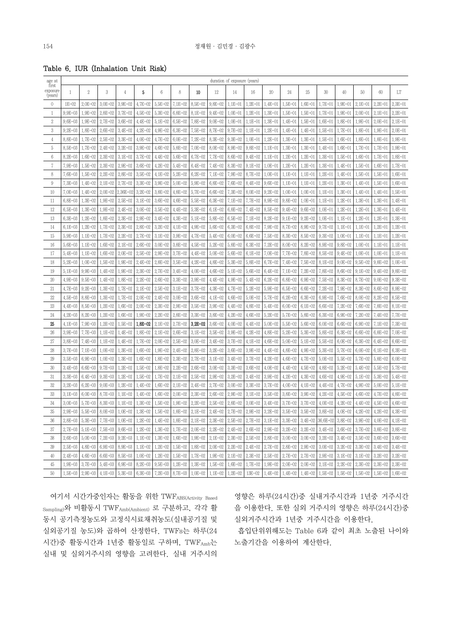Table 6. IUR (Inhalation Unit Risk)

| age at                       |                 |                       |             |                |             |                                                 |                                   |             |                 | duration of exposure (years) |             |             |                                                                                                                                                                                             |                       |                                                           |             |                                                   |             |             |
|------------------------------|-----------------|-----------------------|-------------|----------------|-------------|-------------------------------------------------|-----------------------------------|-------------|-----------------|------------------------------|-------------|-------------|---------------------------------------------------------------------------------------------------------------------------------------------------------------------------------------------|-----------------------|-----------------------------------------------------------|-------------|---------------------------------------------------|-------------|-------------|
| first<br>exposure<br>(years) | $\mathbf{1}$    | 2                     | 3           | $\overline{4}$ | 5           | 6                                               | 8                                 | 10          | 12              | 14                           | 16          | 20          | 24                                                                                                                                                                                          | 25                    | 30                                                        | 40          | 50                                                | 60          | LT          |
| $\mathbf{0}$                 | $1E-02$         | $2.0E - 02$           | $3.0E - 02$ | $3.9E - 02$    | 4.7E-02     | $5,5E-02$                                       | 7.1E-02                           | 8,5E-02     | $9.8E - 02$     | $1.E-01$                     | $1,2E-01$   | $1,4E-01$   | $1,5E-01$                                                                                                                                                                                   | $1,6E-01$             | $1,7E-01$                                                 | $1.9E - 01$ | $2.1E - 01$                                       | $2.2E - 01$ | $2,3E-01$   |
| $\mathbf{1}$                 | $9.9E - 03$     | $1.9E - 02$           | $2.8E - 02$ | $3.7E - 02$    | $4,5E - 02$ | $5,3E-02$                                       | $6,8E - 02$                       | 8.1E-02     | $9.4E - 02$     | $1.0E - 01$                  | $1,2E-01$   | $1,3E-01$   | $1,5E-01$                                                                                                                                                                                   | 1,5E-01               | $1,7E-01$                                                 | $1.9E - 01$ | $2.0E - 01$                                       | $2.E - 01$  | $2.2E - 01$ |
| $\,2$                        | $9.6E - 03$     | $1.9E - 02$           | $2.7E - 02$ | $3.6E - 02$    | $4.4E - 02$ | $5.1E - 02$                                     | $6,5E-02$                         | 7,8E-02     | $9.0E - 02$     | $1.0E - 01$                  | $1.E - 01$  | $1,3E-01$   | $1.4E - 01$                                                                                                                                                                                 | $1,5E-01$             | $1.6E - 01$                                               | $1,8E-01$   | $1.9E - 01$                                       | $2.0E - 01$ | $2.E - 01$  |
| 3                            | $9.2E - 03$     | $1,8E-02$             | $2.6E - 02$ | $3.4E - 02$    | $4.2E - 02$ | $4.9E - 02$                                     | $6,3E-02$                         | $7.5E - 02$ | $8,7E-02$       | $9.7E - 02$                  | $1.E-01$    | $1,2E-01$   | $1.4E - 01$                                                                                                                                                                                 | $1.4E - 01$           | $1,5E-01$                                                 | $1,7E-01$   | 1,8E-01                                           | 1,9E-01     | $2.0E - 01$ |
| 4                            | 8,8E-03         | $1,7E-02$             | $2.5E - 02$ | $3.3E - 02$    | $4.0E - 02$ | $4.7E - 02$                                     | $6.0E - 02$                       | 7.2E-02     | $8.3E - 02$     | $9.3E - 02$                  | $1.0E - 01$ | $1.2E - 01$ | $1,3E-01$                                                                                                                                                                                   | $1,3E-01$             | $1,5E-01$                                                 | 1,6E-01     | 1,8E-01                                           | 1,8E-01     | $1,9E - 01$ |
| 5                            | $8,5E-03$       | $1,7E-02$             | $2.4E - 02$ | $3.2E - 02$    | $3.9E - 02$ | $4.6E - 02$                                     | 5,8E-02                           | $7.0E - 02$ | $8.0E - 02$     | $8.9E - 02$                  | $9,8E - 02$ | $1.1E - 01$ | $1,3E-01$                                                                                                                                                                                   | $1,3E-01$             | $1.4E - 01$                                               | $1.6E - 01$ | $1,7E-01$                                         | $1,7E-01$   | $1,9E-01$   |
| 6                            | $8.2E - 03$     | $1.6E - 02$           | $2.3E - 02$ | $3.E - 02$     | $3.7E - 02$ | $4.4E - 02$                                     | $5.6E - 02$                       | $6.7E - 02$ | $7.7E - 02$     | $8.6E - 02$                  | $9.4E - 02$ | $1,1E-01$   | $1.2E - 01$                                                                                                                                                                                 | $1,2E-01$             | $1,3E-01$                                                 | $1,5E-01$   | $1,6E-01$                                         | $1,7E-01$   | $1,8E - 01$ |
| 7                            | 7,9E-03         | $1,5E-02$             | $2.3E - 02$ | $2.9E - 02$    | $3.6E - 02$ | 4.2E-02                                         | $5.4E - 02$                       | $6.4E - 02$ | 7.4E-02         | $8.3E - 02$                  | $9.1E - 02$ | $1,0E-01$   | $1,2E-01$                                                                                                                                                                                   | $1,2E-01$             | $1,3E-01$                                                 | $1,4E-01$   | $1,5E-01$                                         | $1,6E-01$   | $1,7E-01$   |
| 8                            | $7.6E - 03$     | $1,5E-02$             | $2.2E - 02$ | $2.8E - 02$    | $3,5E-02$   | $4.1E - 02$                                     | $5.2E - 02$                       | $6.2E - 02$ | $7.1E - 02$     | $7.9E - 02$                  | $8.7E - 02$ | $1,0E-01$   | $1.E-01$                                                                                                                                                                                    | $1.E-01$              | $1,2E-01$                                                 | $1.4E - 01$ | $1,5E-01$                                         | $1,5E-01$   | $1,6E-01$   |
| 9                            | $7.3E - 03$     | $1.4E - 02$           | $2.E - 02$  | $2.7E - 02$    | $3,3E-02$   | $3.9E - 02$                                     | $5.0E - 02$                       | 5.9E-02     | $6,8E-02$       | $7.6E - 02$                  | $8,4E-02$   | $9.6E - 02$ | $1.1E - 01$                                                                                                                                                                                 | 1.1E-01               | $1,2E-01$                                                 | $1,3E-01$   | $1.4E - 01$                                       | $1,5E-01$   | $1,6E-01$   |
| $10\,$                       | $7.0E - 03$     | $1.4E - 02$           | $2.0E - 02$ | 2,36E-02       | $3,2E-02$   | $3,8E-02$                                       | $4.8E - 02$                       | 5.7E-02     | $6.6E - 02$     | $7.3E - 02$                  | $8.0E - 02$ | $9.2E - 02$ | $1.0E - 01$                                                                                                                                                                                 | $1.0E - 01$           | $1.E-01$                                                  | $1,3E-01$   | $1.4E - 01$                                       | $1.4E - 01$ | $1,5E-01$   |
| 11                           | $6,8E - 03$     | $1,3E-02$             | $1.9E - 02$ | $2.5E - 02$    | $3.1E - 02$ | $3.6E - 02$                                     | 4.6E-02                           | 5,5E-02     | $6.3E - 02$     | $7.1E - 02$                  | $7.7E - 02$ | $8.9E - 02$ | $9.8E - 02$                                                                                                                                                                                 | $1.0E - 01$           | $1.E-01$                                                  | $1.2E - 01$ | $1,3E-01$                                         | $1,3E-01$   | $1.4E - 01$ |
| 12                           | $6,5E-03$       | $1,3E-02$             | $1.9E - 02$ | $2.4E - 02$    | $3.0E - 02$ | $3,5E-02$                                       | $4.4E - 02$                       | 5,3E-02     | $6.1E - 02$     | $6.8E - 02$                  | $7.4E - 02$ | $8,5E-02$   | $9.4E - 02$                                                                                                                                                                                 | $9.6E - 02$           | $1.0E - 01$                                               | $1,2E-01$   | $1,2E-01$                                         | $1,3E-01$   | $1,4E-01$   |
| 13                           | $6.3E - 03$     | $1,2E-02$             | $1,8E-02$   | $2.3E - 02$    | $2.9E - 02$ | $3,4E-02$                                       | $4,3E-02$                         | 5.1E-02     | $5.8E - 02$     | $6,5E-02$                    | $7.1E - 02$ | $8.2E - 02$ | $9.1E - 02$                                                                                                                                                                                 | $9.2E - 02$           | $1,0E-01$                                                 | $1.E-01$    | $1,2E-01$                                         | $1,2E-01$   | $1,3E-01$   |
| 14                           | $6.1E - 03$     | $1,2E-02$             | $1.7E - 02$ | $2.3E - 02$    | $2.8E - 02$ | $3.2E - 02$                                     | $4.1E - 02$                       | $4.9E - 02$ | 5.6E-02         | $6.3E - 02$                  | $6,8E - 02$ | $7.9E - 02$ | $8.7E - 02$                                                                                                                                                                                 | $8.9E - 02$           | $9.7E - 02$                                               | $1.E-01$    | $1.E-01$                                          | $1,2E-01$   | $1,2E-01$   |
| 15                           | $5.9E - 03$     | $1.E-02$              | $1.7E - 02$ | $2.2E - 02$    | $2,7E-02$   | $3.1E - 02$                                     | $3.9E - 02$                       | $4.7E - 02$ | $5.4E - 02$     | $6.0E - 02$                  | $6.6E - 02$ | $7,5E-02$   | $8.3E - 02$                                                                                                                                                                                 | $8.5E - 02$           | $9.3E - 02$                                               | $1.0E - 01$ | $1.E-01$                                          | $1.E-01$    | $1,2E-01$   |
| 16                           | $5.6E - 03$     | $1.E-02$              | $1.6E - 02$ | $2.E - 02$     | $2.6E - 02$ | $3.0E - 02$                                     | $3,8E - 02$                       | $4.5E - 02$ | $5.2E - 02$     | $5.8E - 02$                  | $6,3E-02$   | $7.2E - 02$ | $8.0E - 02$                                                                                                                                                                                 | $8.2E - 02$           | $8.9E - 02$                                               | $9.8E - 02$ | $1.0E - 01$                                       | $1.E-01$    | $1.1E - 01$ |
| 17                           | $5.4E - 03$     | $1.E-02$              | $1.6E - 02$ | $2.0E - 02$    | $2,5E-02$   | $2.9E - 02$                                     | $3.7E - 02$                       | $4.4E - 02$ | $5.0E - 02$     | $5.6E - 02$                  | $6.1E - 02$ | $7.0E - 02$ | 7.7E-02                                                                                                                                                                                     | 7,8E-02               | $8.5E - 02$                                               | $9,4E-02$   | $1.0E - 01$                                       | $1,0E-01$   | $1.1E - 01$ |
| 18                           | $5.2E - 03$     | $1.0E - 02$           | $1,5E-02$   | $1.9E - 02$    | 2.4E-02     | $2,8E-02$                                       | $3,5E-02$                         | 4.2E-02     | $4.8E - 02$     | 5.3E-02                      | $5,8E - 02$ | $6.7E - 02$ | $7.4E - 02$                                                                                                                                                                                 | 7,5E-02               | 8.1E-02                                                   | $9.0E - 02$ | $9.5E - 02$                                       | $9.8E - 02$ | $1.0E - 01$ |
| 19                           | $5.1E - 03$     | $9.9E - 03$           | $1.4E - 02$ | $1.9E - 02$    | $2,3E-02$   | $2.7E - 02$                                     | $3.4E - 02$                       | 4.0E-02     | $4.6E - 02$     | $5.1E - 02$                  | $5.6E - 02$ | $6.4E - 02$ | 7.1E-02                                                                                                                                                                                     | 7.2E-02               | 7,8E-02                                                   | 8.6E-02     | $9.1E - 02$                                       | $9.4E - 02$ | $9.8E - 02$ |
| $20\,$                       | $4.9E - 03$     | $9,5E-03$             | $1.4E - 02$ | $1,8E-02$      | $2.2E - 02$ | $2.6E - 02$                                     | $3,3E-02$                         | $3.9E - 02$ | $4.4E - 02$     | $4.9E - 02$                  | $5.4E - 02$ | $6.2E - 02$ | $6,8E-02$                                                                                                                                                                                   | $6.9E - 02$           | 7.5E-02                                                   | 8.3E-02     | 8.7E-02                                           | $9.0E - 02$ | $9.3E - 02$ |
| 21                           | $4.7E - 03$     | $9.2E - 03$           | $1,3E-02$   | $1.7E - 02$    | $2,1E-02$   | $2.5E - 02$                                     | $3.1E - 02$                       | $3.7E - 02$ | $4,3E-02$       | $4.7E - 02$                  | $5,2E-02$   | $5,9E - 02$ | $6,5E-02$                                                                                                                                                                                   | $6.6E - 02$           | $7.2E - 02$                                               | 7,9E-02     | $8.3E - 02$                                       | $8.6E - 02$ | $8,9E - 02$ |
| 22                           | $4.5E - 03$     | $8,8E - 03$           | $1,3E-02$   | $1,7E-02$      | $2.0E - 02$ | $2.4E - 02$                                     | $3.0E - 02$                       | 3.6E-02     | $4.E-02$        | $4.6E - 02$                  | $5.0E - 02$ | 5.7E-02     | $6.2E - 02$                                                                                                                                                                                 | $6.3E - 02$           | $6.9E - 02$                                               | 7,6E-02     | 8.0E-02                                           | $8.2E - 02$ | $8,5E-02$   |
| 23                           | $4.4E - 03$     | $8,5E-03$             | $1.2E - 02$ | $1,6E-02$      | $2,0E-02$   | $2,3E-02$                                       | $2,9E - 02$                       | $3.5E - 02$ | $3.9E - 02$     | $4.4E - 02$                  | $4.8E - 02$ | $5,4E-02$   | $6.0E - 02$                                                                                                                                                                                 | $6.1E - 02$           | $6.6E - 02$                                               | $7.2E - 02$ | $7.6E - 02$                                       | 7,8E-02     | $8.1E - 02$ |
| 24                           | $4.2E - 03$     | $8.2E - 03$           | $1,2E-02$   | $1,6E-02$      | $1.9E - 02$ | $2.2E - 02$                                     | $2,8E - 02$                       | 3,3E-02     | $3.8E - 02$     | $4.2E - 02$                  | $4.6E - 02$ | $5.2E - 02$ | $5.7E - 02$                                                                                                                                                                                 | $5,8E - 02$           | $6.3E - 02$                                               | $6.9E - 02$ | $7.2E - 02$                                       | $7.4E - 02$ | $7.7E - 02$ |
| 25                           | $4.1E - 03$     | 7.9E-03               | $1,2E-02$   | $1,5E-02$      | 1,8E-02     | $2.E - 02$                                      | 2.7E-02                           | $3.2E - 02$ | $3.6E - 02$     | $4.0E - 02$                  | $4.4E - 02$ | $5.0E - 02$ | $5,5E-02$                                                                                                                                                                                   | 5.6E-02               | $6.0E - 02$                                               | $6.6E - 02$ | $6.9E - 02$                                       | $7.1E - 02$ | $7.3E - 02$ |
| 26                           | $3.9E - 03$     | $7.7E - 03$           | $1.1E - 02$ | $1.4E - 02$    | 1,8E-02     | $2.E - 02$                                      | 2,6E-02                           | 3.1E-02     | $3,5E-02$       | $3.9E - 02$                  | $4.2E - 02$ | 4.8E-02     | 5.2E-02                                                                                                                                                                                     | $5,3E-02$             | 5.8E-02                                                   | $6.3E - 02$ | $6.6E - 02$                                       | $6,8E - 02$ | $7.0E - 02$ |
| 27                           | $3.8E - 03$     | $7.4E - 03$           | $1.1E - 02$ | $1.4E - 02$    | $1,7E-02$   | $2.0E - 02$                                     | 2,5E-02                           | $3.0E - 02$ | $3.4E - 02$     | $3.7E - 02$                  | $4.E - 02$  | $4.6E - 02$ | $5.0E - 02$                                                                                                                                                                                 | $5.E-02$              | 5,5E-02                                                   | $6.0E - 02$ | $6.3E - 02$                                       | $6,4E-02$   | $6.6E - 02$ |
| 28                           | $3.7E - 03$     | $7.E - 03$            | $1.0E - 02$ | $1.3E - 02$    | $1.6E - 02$ | $1.9E - 02$                                     | $2,4E-02$                         | $2.8E - 02$ | $3,2E-02$       | $3.6E - 02$                  | $3.9E - 02$ | $4.4E - 02$ | $4.8E - 02$                                                                                                                                                                                 | $4.9E - 02$           | $5.3E - 02$                                               | $5.7E - 02$ | $6.0E - 02$                                       | $6.1E - 02$ | $6.3E - 02$ |
| 29                           | $3,5E-03$       | $6.9E - 03$           | $1.0E - 02$ | $1,3E-02$      | $1.6E - 02$ | $1,8E-02$                                       | $2,3E-02$                         | $2.7E - 02$ | $3.1E - 02$     | $3.4E - 02$                  | $3.7E - 02$ | $4.2E - 02$ | $4.6E - 02$                                                                                                                                                                                 | 4.7E-02               | $5.0E - 02$                                               | $5,5E-02$   | $5.7E - 02$                                       | $5,8E-02$   | $6.0E - 02$ |
| $30\,$                       | $3.4E - 03$     | $6.6E - 03$           | $9.7E - 03$ | $1,2E-02$      | $1,5E-02$   | $1,8E-02$                                       | $2.2E - 02$                       | 2,6E-02     | $3.0E - 02$     | $3.3E - 02$                  | $3.6E - 02$ | $4.0E - 02$ | $4.4E - 02$                                                                                                                                                                                 | $4.5E - 02$           | $4.8E - 02$                                               | $5.2E - 02$ | $5.4E - 02$                                       | 5,5E-02     | $5.7E - 02$ |
| 31                           | $3.3E - 03$     | $6.4E - 03$           | $9.3E - 03$ | $1,2E-02$      | $1,5E-02$   | $1,7E-02$                                       | $2.E - 02$                        | $2.5E - 02$ | $2.9E - 02$     | $3.2E - 02$                  | $3,4E-02$   | $3.9E - 02$ | $4.2E - 02$                                                                                                                                                                                 | $4.3E - 02$           | $4.6E - 02$                                               | $4.9E - 02$ | $5.1E - 02$                                       | $5,3E-02$   | $5.4E - 02$ |
| 32                           | $3.2E - 03$     | $6.2E - 03$           | $9.0E - 03$ | $1.2E - 02$    | $1.4E - 02$ | $1,6E-02$                                       | $2,1E-02$                         | $2.4E - 02$ | $2.7E - 02$     | $3.0E - 02$                  | $3,3E-02$   | $3,7E-02$   | $4.0E - 02$                                                                                                                                                                                 | $4.E-02$              | $4.4E - 02$                                               | 4,7E-02     | $4.9E - 02$                                       | $5.0E - 02$ | $5,1E-02$   |
| 33                           | $3.1E - 03$     | $6.0E - 03$           | $8.7E - 03$ | $1.E-02$       | $1.4E - 02$ | $1,6E-02$                                       | 2.0E-02                           | $2.3E - 02$ | $2.6E - 02$     | 2,9E-02                      | $3.E - 02$  | $3,5E-02$   | $3.8E - 02$                                                                                                                                                                                 | 3.9E-02               | $4.2E - 02$                                               | 4,5E-02     | $4.6E - 02$                                       | $4.7E - 02$ | 4,8E-02     |
| 34                           | $3.0E - 03$     | $5.7E - 03$           | $8.3E - 03$ | $1.E-02$       | $1,3E-02$   | $1,5E-02$                                       | 1,9E-02                           | $2.2E - 02$ | $2.5E - 02$     | 2,8E-02                      | $3.0E - 02$ | $3.4E - 02$ | $3.7E - 02$                                                                                                                                                                                 | $3.7E - 02$           | $4.0E - 02$                                               | $4.2E - 02$ | $4.4E - 02$                                       | $4.5E - 02$ | $4.6E - 02$ |
| 35                           | 2,9E-03         | $5,5E-03$             | $8.0E - 03$ | $1.0E - 02$    | $1,3E-02$   | $1,5E-02$                                       | $1,8E-02$                         | $2.1E - 02$ | $2,4E-02$       | $2,7E-02$                    | $2,9E - 02$ | $3.2E - 02$ | $3.5E - 02$                                                                                                                                                                                 | $3,5E-02$             | $3,8E - 02$                                               | $4.0E - 02$ | $4.2E - 02$                                       | $4.2E - 02$ | $4,3E-02$   |
| 36                           |                 |                       |             |                |             |                                                 |                                   |             |                 |                              |             |             | 2,8E-03   5,3E-03   7,TE-03   1,0E-02   1,2E-02   1,4E-02   1,8E-02   2,1E-02   2,5E-02   2,5E-02   3,TE-02   3,1E-02   3,4E-02   3,4E-02   3,6E-02   3,8E-02   3,9E-02   4,1E-02   4,1E-02 |                       |                                                           |             |                                                   |             |             |
| 37                           | 2,7E-03 5,1E-03 |                       |             |                |             | 7.5E-03   9.6E-03   1.2E-02   1.3E-02   1.7E-02 |                                   |             | 2.0E-02 2.2E-02 | $2.4E-02$ $2.6E-02$          |             | $2.9E - 02$ |                                                                                                                                                                                             |                       | $3,2E-02$   $3,2E-02$   $3,4E-02$   $3,6E-02$             |             | $3,7E-02$ 3.8E-02                                 |             | $3,8E-02$   |
| $38\,$                       |                 | $2.6E - 03$ 5.0E-03   |             |                |             | 7.2E-03   9.2E-03   1.1E-02   1.3E-02   1.6E-02 |                                   |             | 1,9E-02 2,1E-02 | $2.3E-02$ $2.5E-02$          |             | $2.8E - 02$ |                                                                                                                                                                                             |                       |                                                           |             | $3.0E-02$ 3.0E-02 3.2E-02 3.4E-02 3.5E-02 3.6E-02 |             | $3,6E-02$   |
| 39                           |                 | $2,5E-03$   $4,8E-03$ | $6.9E - 03$ |                |             | $8.9E-03$   1.1E-02   1.2E-02   1.5E-02         |                                   | $1,8E-02$   | 2.0E-02         | $2.2E-02$ 2.4E-02            |             | $2,7E-02$   |                                                                                                                                                                                             | $2,8E-02$   $2,9E-02$ | $3.0E - 02$ 3.2E-02                                       |             | $3,3E-02$ 3.4E-02                                 |             | $3,4E-02$   |
| 40                           | 2.4E-03 4.6E-03 |                       | $6.6E - 03$ |                |             | 8.5E-03   1.0E-02   1.2E-02                     | $1,5E-02$                         | 1,7E-02     | $1.9E - 02$     | $2.1E - 02$                  | 2,3E-02     | $2,5E-02$   | $2.7E - 02$                                                                                                                                                                                 | $2.7E - 02$           | 2,9E-02 3,1E-02                                           |             | $3.1E-02$ 3.2E-02                                 |             | $3,2E-02$   |
| 45                           | 1,9E-03 3,7E-03 |                       | $5.4E - 03$ |                |             | $6.9E-03$   8.2E-03   9.5E-03   1.2E-02         |                                   | $1,3E-02$   | $1,5E-02$       | $1,6E-02$                    | 1,7E-02     | 1,9E-02     | $2.0E-02$ 2.0E-02                                                                                                                                                                           |                       | 2.1E-02 2.2E-02                                           |             | $2,3E-02$                                         | $2,3E-02$   | $2.3E - 02$ |
| $50\,$                       |                 | $1,5E-03$ 2.9E-03     | $4.1E - 03$ |                |             |                                                 | $5.3E-03$ 6.3E-03 7.2E-03 8.7E-03 | $1,0E-02$   | $1.1E - 02$     | $1,2E-02$ 13E-02             |             | $1.4E - 02$ |                                                                                                                                                                                             |                       | $1.4E-02$   $1.4E-02$   $1.5E-02$   $1.5E-02$   $1.5E-02$ |             |                                                   | $1,5E-02$   | $1.6E-02$   |
|                              |                 |                       |             |                |             |                                                 |                                   |             |                 |                              |             |             |                                                                                                                                                                                             |                       |                                                           |             |                                                   |             |             |

 여기서 시간가중인자는 활동을 위한 TWFABS(Activity Based Sampling)와 비활동시 TWFAmb(Ambient) 로 구분하고, 각각 활 동시 공기측정농도와 고정식시료채취농도(실내공기질 및 실외공기질 농도)와 곱하여 산정한다. TWFs는 하루(24 시간)중 활동시간과 1년중 활동일로 구하며, TWFAmb는 실내 및 실외거주시의 영향을 고려한다. 실내 거주시의

영향은 하루(24시간)중 실내거주시간과 1년중 거주시간 을 이용한다. 또한 실외 거주시의 영향은 하루(24시간)중 실외거주시간과 1년중 거주시간을 이용한다.

흡입단위위해도는 Table 6과 같이 최초 노출된 나이와 노출기간을 이용하여 계산한다.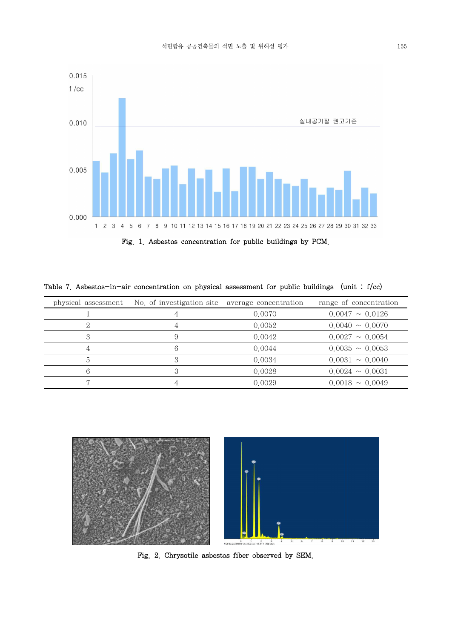

Fig. 1. Asbestos concentration for public buildings by PCM.

| physical assessment | No of investigation site average concentration |        | range of concentration |
|---------------------|------------------------------------------------|--------|------------------------|
|                     |                                                | 0.0070 | $0.0047 \sim 0.0126$   |
| റ                   |                                                | 0.0052 | $0.0040 \sim 0.0070$   |
|                     |                                                | 0.0042 | $0.0027 \sim 0.0054$   |
|                     |                                                | 0.0044 | $0.0035 \sim 0.0053$   |
| ÷,                  | 3                                              | 0.0034 | $0.0031 \sim 0.0040$   |
| 6                   |                                                | 0.0028 | $0.0024 \sim 0.0031$   |
|                     |                                                | 0.0029 | $0.0018 \sim 0.0049$   |

Table 7. Asbestos-in-air concentration on physical assessment for public buildings (unit : f/cc)



Fig. 2. Chrysotile asbestos fiber observed by SEM.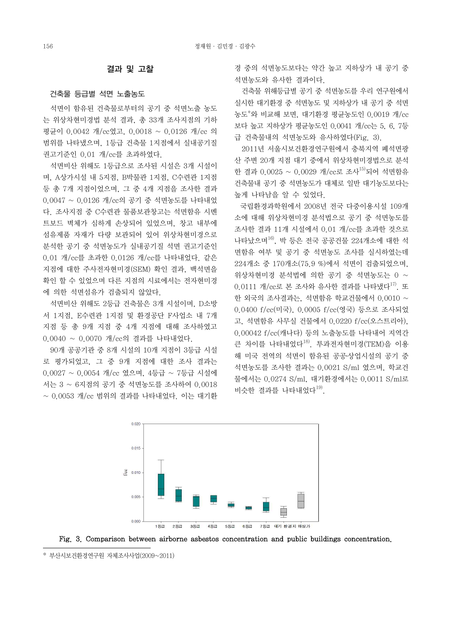### 결과 및 고찰

### 건축물 등급별 석면 노출농도

 석면이 함유된 건축물로부터의 공기 중 석면노출 농도 는 위상차현미경법 분석 결과, 총 33개 조사지점의 기하 평균이 0.0042 개/cc였고, 0.0018 ~ 0.0126 개/cc 의 범위를 나타냈으며, 1등급 건축물 1지점에서 실내공기질 권고기준인 0.01 개/cc를 초과하였다.

 석면비산 위해도 1등급으로 조사된 시설은 3개 시설이 며, A상가시설 내 5지점, B박물관 1지점, C수련관 1지점 등 총 7개 지점이었으며, 그 중 4개 지점을 조사한 결과 0.0047 ~ 0.0126 개/cc의 공기 중 석면농도를 나타내었 다. 조사지점 중 C수련관 물품보관창고는 석면함유 시멘 트보드 벽체가 심하게 손상되어 있었으며, 창고 내부에 섬유제품 자재가 다량 보관되어 있어 위상차현미경으로 분석한 공기 중 석면농도가 실내공기질 석면 권고기준인 0.01 개/cc를 초과한 0.0126 개/cc를 나타내었다. 같은 지점에 대한 주사전자현미경(SEM) 확인 결과, 백석면을 확인 할 수 있었으며 다른 지점의 시료에서는 전자현미경<br>- 이 기업 시설 시설 기술 기업 시설 시설 시설 이 111 개/cc로 본 조사와 유사한 결과를 나타냈다<sup>17)</sup> 또 에 의한 석면섬유가 검출되지 않았다.

서 1지점, E수련관 1지점 및 환경공단 F사업소 내 7개 지점 등 총 9개 지점 중 4개 지점에 대해 조사하였고 0.0040 ~ 0.0070 개/cc의 결과를 나타내었다.

 90개 공공기관 중 8개 시설의 10개 지점이 3등급 시설 로 평가되었고, 그 중 9개 지점에 대한 조사 결과는 0.0027 ~ 0.0054 개/cc 였으며, 4등급 ~ 7등급 시설에 서는 3 ~ 6지점의 공기 중 석면농도를 조사하여 0.0018<br>~ 0.0053 개/cc 범위의 결과를 나타내었다. 이는 대기환 경 중의 석면농도보다는 약간 높고 지하상가 내 공기 중 석면농도와 유사한 결과이다.

 건축물 위해등급별 공기 중 석면농도를 우리 연구원에서 실시한 대기환경 중 석면농도 및 지하상가 내 공기 중 석면 농도\*와 비교해 보면, 대기환경 평균농도인 0.0019 개/cc 보다 높고 지하상가 평균농도인 0.0041 개/cc는 5, 6, 7등 급 건축물내의 석면농도와 유사하였다(Fig. 3).

 2011년 서울시보건환경연구원에서 충북지역 폐석면광 산 주변 20개 지점 대기 중에서 위상차현미경법으로 분석 한 결과 0.0025 ~ 0.0029 개/cc로 조사<sup>15)</sup>되어 석면함유 건축물내 공기 중 석면농도가 대체로 일반 대기농도보다는 높게 나타남을 알 수 있었다.

그 그는 그리까? [ 뉴트 - 프로그램 & 사진이며, D소방 한 외국의 조사결과는, 석면함유 학교건물에서 0.0010 ~<br>석면비산 위해도 2등급 건축물은 3개 시설이며, D소방 국립환경과학원에서 2008년 전국 다중이용시설 109개 소에 대해 위상차현미경 분석법으로 공기 중 석면농도를 조사한 결과 11개 시설에서 0.01 개/cc를 초과한 것으로 나타났으며16), 박 등은 전국 공공건물 224개소에 대한 석 면함유 여부 및 공기 중 석면농도 조사를 실시하였는데  $94$ 상차현미경 분석법에 의한 공기 중 석면농도는 0 ~ 0.0400 f/cc(미국), 0.0005 f/cc(영국) 등으로 조사되었 고, 석면함유 사무실 건물에서 0.0220 f/cc(오스트리아), 0.00042 f/cc(캐나다) 등의 노출농도를 나타내어 지역간 큰 차이를 나타내었다18). 투과전자현미경(TEM)을 이용 해 미국 전역의 석면이 함유된 공공․상업시설의 공기 중 석면농도를 조사한 결과는 0.0021 S/ml 였으며, 학교건 물에서는 0.0274 S/ml, 대기환경에서는 0.0011 S/ml로 비슷한 결과를 나타내었다 $^{19}$ .





<sup>\*</sup> 부산시보건환경연구원 자체조사사업(2009~2011)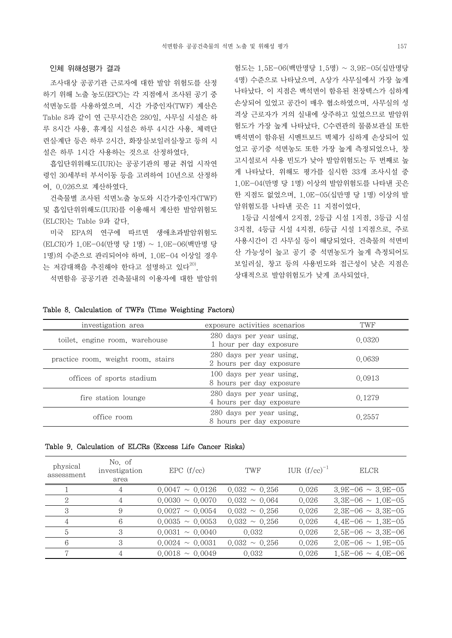### 인체 위해성평가 결과

 조사대상 공공기관 근로자에 대한 발암 위험도를 산정 하기 위해 노출 농도(EPC)는 각 지점에서 조사된 공기 중 석면농도를 사용하였으며, 시간 가중인자(TWF) 계산은 Table 8과 같이 연 근무시간은 280일, 사무실 시설은 하 루 8시간 사용, 휴게실 시설은 하루 4시간 사용, 체력단 련실․계단 등은 하루 2시간, 화장실․보일러실․창고 등의 시 설은 하루 1시간 사용하는 것으로 산정하였다.

 흡입단위위해도(IUR)는 공공기관의 평균 취업 시작연 령인 30세부터 부서이동 등을 고려하여 10년으로 산정하 여, 0.026으로 계산하였다.

 건축물별 조사된 석면노출 농도와 시간가중인자(TWF) 및 흡입단위위해도(IUR)를 이용해서 계산한 발암위험도 (ELCR)는 Table 9과 같다.

 미국 EPA의 연구에 따르면 생애초과발암위험도 (ELCR)가 1.0E-04(만명 당 1명) ~ 1.0E-06(백만명 당 1명)의 수준으로 관리되어야 하며, 1.0E-04 이상일 경우 는 저감대책을 추진해야 한다고 설명하고 있다<sup>20)</sup>.

석면함유 공공기관 건축물내의 이용자에 대한 발암위

험도는 1.5E-06(백만명당 1.5명) ~ 3.9E-05(십만명당 4명) 수준으로 나타났으며, A상가 사무실에서 가장 높게 나타났다. 이 지점은 백석면이 함유된 천장텍스가 심하게 손상되어 있었고 공간이 매우 협소하였으며, 사무실의 성 격상 근로자가 거의 실내에 상주하고 있었으므로 발암위 험도가 가장 높게 나타났다. C수련관의 물품보관실 또한 백석면이 함유된 시멘트보드 벽체가 심하게 손상되어 있 었고 공기중 석면농도 또한 가장 높게 측정되었으나, 창 고시설로서 사용 빈도가 낮아 발암위험도는 두 번째로 높 게 나타났다. 위해도 평가를 실시한 33개 조사시설 중 1.0E-04(만명 당 1명) 이상의 발암위험도를 나타낸 곳은 한 지점도 없었으며, 1.0E-05(십만명 당 1명) 이상의 발 암위험도를 나타낸 곳은 11 지점이었다.

 1등급 시설에서 2지점, 2등급 시설 1지점, 3등급 시설 3지점, 4등급 시설 4지점, 6등급 시설 1지점으로, 주로 사용시간이 긴 사무실 등이 해당되었다. 건축물의 석면비 산 가능성이 높고 공기 중 석면농도가 높게 측정되어도 보일러실, 창고 등의 사용빈도와 접근성이 낮은 지점은 상대적으로 발암위험도가 낮게 조사되었다.

| investigation area                 | exposure activities scenarios                        | TWF    |
|------------------------------------|------------------------------------------------------|--------|
| toilet, engine room, warehouse     | 280 days per year using.<br>1 hour per day exposure  | 0.0320 |
| practice room, weight room, stairs | 280 days per year using.<br>2 hours per day exposure | 0.0639 |
| offices of sports stadium          | 100 days per year using.<br>8 hours per day exposure | 0.0913 |
| fire station lounge                | 280 days per year using.<br>4 hours per day exposure | 0.1279 |
| office room                        | 280 days per year using.<br>8 hours per day exposure | 0.2557 |

# Table 8. Calculation of TWFs (Time Weighting Factors)

# Table 9. Calculation of ELCRs (Excess Life Cancer Risks)

| physical<br>assessment | No. of<br>investigation<br>area | EPC(f/cc)            | TWF                | IUR $(f/cc)^{-1}$ | ELCR                   |
|------------------------|---------------------------------|----------------------|--------------------|-------------------|------------------------|
|                        | 4                               | $0.0047 \sim 0.0126$ | $0.032 \sim 0.256$ | 0.026             | $3.9E-06 \sim 3.9E-05$ |
| 2                      | 4                               | $0.0030 \sim 0.0070$ | $0.032 \sim 0.064$ | 0.026             | $3.3E-06 \sim 1.0E-05$ |
| 3                      | 9                               | $0.0027 \sim 0.0054$ | $0.032 \sim 0.256$ | 0.026             | $2.3E-06 \sim 3.3E-05$ |
|                        | 6                               | $0.0035 \sim 0.0053$ | $0.032 \sim 0.256$ | 0.026             | $4.4E-06 \sim 1.3E-05$ |
| $\ddot{a}$             | 3                               | $0.0031 \sim 0.0040$ | 0.032              | 0.026             | $2.5E-06 \sim 3.3E-06$ |
| 6                      | 3                               | $0.0024 \sim 0.0031$ | $0.032 \sim 0.256$ | 0.026             | $2.0E-06 \sim 1.9E-05$ |
|                        |                                 | $0.0018 \sim 0.0049$ | 0.032              | 0.026             | $1.5E-06 \sim 4.0E-06$ |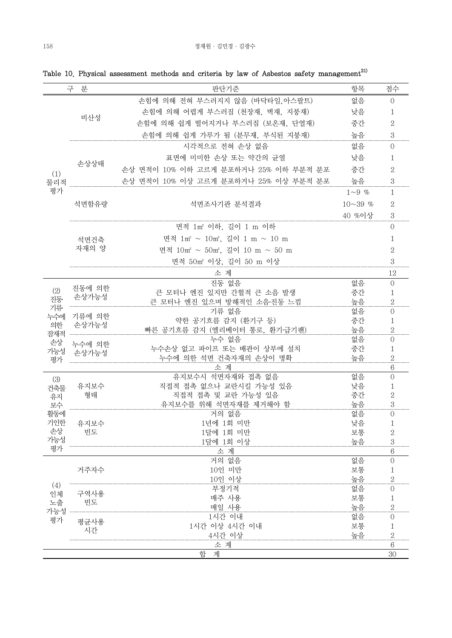|            | 분<br>구          | 판단기준                                                  | 항목             | 점수                  |
|------------|-----------------|-------------------------------------------------------|----------------|---------------------|
|            |                 | 손힘에 의해 전혀 부스러지지 않음 (바닥타일,아스팔트)                        | 없음             | $\overline{0}$      |
|            |                 | 손힘에 의해 어렵게 부스러짐 (천장재, 벽재, 지붕재)                        | 낮음             | 1                   |
|            | 비산성             | 손힘에 의해 쉽게 떨어지거나 부스러짐 (보온재, 단열재)                       | 중간             | 2                   |
|            |                 | 손힘에 의해 쉽게 가루가 됨 (분무재, 부식된 지붕재)                        | 높음             | 3                   |
|            |                 | 시각적으로 전혀 손상 없음                                        | 없음             | $\Omega$            |
|            |                 | 표면에 미미한 손상 또는 약간의 균열                                  | 낮음             | 1                   |
|            | 손상상태            | 손상 면적이 10% 이하 고르게 분포하거나 25% 이하 부분적 분포                 | 중간             | $\overline{2}$      |
| (1)<br>물리적 |                 | 손상 면적이 10% 이상 고르게 분포하거나 25% 이상 부분적 분포                 | 높음             | 3                   |
| 평가         |                 |                                                       | $1 \sim 9$ %   | $\mathbf{1}$        |
|            | 석면함유량           | 석면조사기관 분석결과                                           | $10 \sim 39$ % | $\mathbf{2}$        |
|            |                 |                                                       | 40 %이상         | 3                   |
|            |                 | 면적 1m2 이하, 길이 1 m 이하                                  |                | $\overline{0}$      |
|            |                 |                                                       |                |                     |
|            | 석면건축            | 면적 1m <sup>2</sup> ~ 10m <sup>2</sup> , 길이 1 m ~ 10 m |                | 1                   |
|            | 자재의 양           | 면적 10m2 ~ 50m2. 길이 10 m ~ 50 m                        |                | $\mathbf{2}$        |
|            |                 | 면적 50m2 이상, 길이 50 m 이상                                |                | 3                   |
|            |                 | 소 계                                                   |                | 12                  |
|            | 진동에 의한          | 진동 없음                                                 | 없음             | $\overline{0}$      |
| (2)<br>진동  | 손상가능성           | 큰 모터나 엔진 있지만 간헐적 큰 소음 발생                              | 중간             | 1                   |
| 기류         |                 | 큰 모터나 엔진 있으며 방해적인 소음 진동 느낌                            | 높음             | $\mathbf{2}$        |
| 누수에        | 기류에 의한<br>손상가능성 | 기류 없음                                                 | 없음<br>중간       | $\Omega$            |
| 의한         |                 | 약한 공기흐름 감지 (환기구 등)<br>빠른 공기흐름 감지 (엘리베이터 통로, 환기·급기팬)   | 높음             | 1<br>$\mathbf{2}$   |
| 잠재적        |                 | 누수 없음                                                 | 없음             | $\overline{0}$      |
| 손상<br>가능성  | 누수에 의한          | 누수손상 없고 파이프 또는 배관이 상부에 설치                             | 중간             | $\mathbf{1}$        |
| 평가         | 손상가능성           | 누수에 의한 석면 건축자재의 손상이 명확                                | 높음             | $\mathbf{2}$        |
|            |                 | 소 계                                                   |                | $\,6$               |
| (3)        |                 | 유지보수시 석면자재와 접촉 없음                                     | 없음             | $\Omega$            |
| 건축물        | 유지보수            | 직접적 접촉 없으나 교란시킬 가능성 있음                                | 낮음             | 1                   |
| 유지         | 형태              | 직접적 접촉 및 교란 가능성 있음                                    | 중간             | $\overline{2}$      |
| 보수         |                 | 유지보수를 위해 석면자재를 제거해야 함                                 | 높음             | $\,3$               |
| 활동에<br>기인한 |                 | 거의 없음<br>1년에 1회 미만                                    | 없음<br>낮음       | $\mathbf{0}$<br>1   |
| 손상         | 유지보수<br>빈도      | 1달에 1회 미만                                             | 보통             | $\sqrt{2}$          |
| 가능성        |                 | 1달에 1회 이상                                             | 높음             | $\,3$               |
| 평가         |                 | 소 계                                                   |                | 6                   |
|            |                 | 거의 없음                                                 | 없음             | $\mathbf{0}$        |
|            | 거주자수            | 10인 미만                                                | 보통             | 1                   |
|            |                 | 10인 이상                                                | 높음             | $\overline{2}$      |
| (4)<br>인체  | 구역사용            | 부정기적                                                  | 없음             | 0                   |
| 노출         | 빈도              | 매주 사용                                                 | 보통             | 1                   |
| 가능성        |                 | 매일 사용                                                 | 높음             | $\overline{2}$      |
| 평가         | 평균사용            | 1시간 이내<br>1시간 이상 4시간 이내                               | 없음<br>보통       | $\overline{0}$<br>1 |
|            | 시간              | 4시간 이상                                                | 높음             | $\overline{2}$      |
|            |                 | 소 계                                                   |                | $\,6$               |
|            |                 | 계<br>합                                                |                | 30                  |

Table 10. Physical assessment methods and criteria by law of Asbestos safety management $^{21}$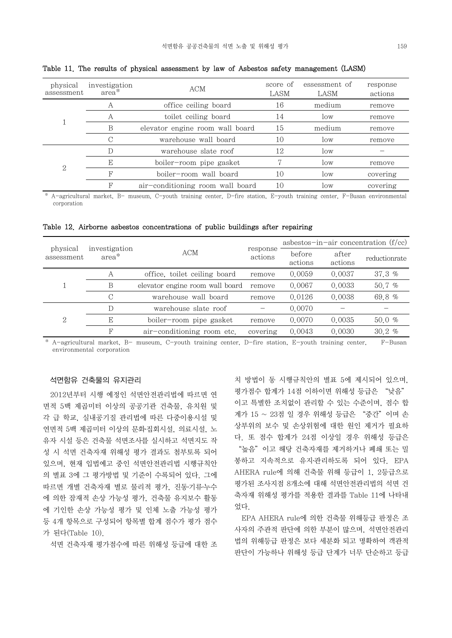| physical<br>assessment | investigation<br>$area*$ | ACM                              | score of<br>LASM | essessment of<br>LASM | response<br>actions |
|------------------------|--------------------------|----------------------------------|------------------|-----------------------|---------------------|
|                        | A                        | office ceiling board             | 16               | medium                | remove              |
|                        | А                        | toilet ceiling board             | 14               | low                   | remove              |
|                        | B                        | elevator engine room wall board  | 15               | medium                | remove              |
|                        | С                        | warehouse wall board             | 10               | low                   | remove              |
|                        |                          | warehouse slate roof             | 12               | low                   |                     |
|                        | E                        | boiler-room pipe gasket          | $\overline{ }$   | low                   | remove              |
| 2                      | F                        | boiler-room wall board           | 10               | low                   | covering            |
|                        | F                        | air-conditioning room wall board | 10               | low                   | covering            |

Table 11. The results of physical assessment by law of Asbestos safety management (LASM)

A-agricultural market, B- museum, C-youth training center, D-fire station, E-youth training center, F-Busan environmental corporation

|  |  | Table 12. Airborne asbestos concentrations of public buildings after repairing |  |  |  |
|--|--|--------------------------------------------------------------------------------|--|--|--|
|  |  |                                                                                |  |  |  |

| physical<br>assessment | investigation<br>area* |                                 | response<br>actions | asbestos-in-air concentration $(f/cc)$ |                  |               |
|------------------------|------------------------|---------------------------------|---------------------|----------------------------------------|------------------|---------------|
|                        |                        | ACM                             |                     | before<br>actions                      | after<br>actions | reductionrate |
|                        | A                      | office, toilet ceiling board    | remove              | 0.0059                                 | 0.0037           | 37.3~%        |
|                        | B                      | elevator engine room wall board | remove              | 0.0067                                 | 0.0033           | 50.7%         |
|                        | С                      | warehouse wall board            | remove              | 0.0126                                 | 0.0038           | 69.8 %        |
| 2                      | D                      | warehouse slate roof            |                     | 0.0070                                 |                  |               |
|                        | E                      | boiler-room pipe gasket         | remove              | 0.0070                                 | 0.0035           | 50.0 %        |
|                        | F                      | air-conditioning room etc.      | covering            | 0.0043                                 | 0.0030           | 30.2%         |

\* A-agricultural market, B- museum, C-youth training center, D-fire station, E-youth training center, F-Busan environmental corporation

### 석면함유 건축물의 유지관리

 2012년부터 시행 예정인 석면안전관리법에 따르면 연 면적 5백 제곱미터 이상의 공공기관 건축물, 유치원 및 각 급 학교, 실내공기질 관리법에 따른 다중이용시설 및 연면적 5백 제곱미터 이상의 문화집회시설, 의료시설, 노 성 시 석면 건축자재 위해성 평가 결과도 첨부토록 되어 있으며, 현재 입법예고 중인 석면안전관리법 시행규칙안 의 별표 3에 그 평가방법 및 기준이 수록되어 있다. 그에 따르면 개별 건축자재 별로 물리적 평가, 진동․기류․누수 에 의한 잠재적 손상 가능성 평가, 건축물 유지보수 활동 에 기인한 손상 가능성 평가 및 인체 노출 가능성 평가 등 4개 항목으로 구성되어 항목별 합계 점수가 평가 점수 가 된다(Table 10).

석면 건축자재 평가점수에 따른 위해성 등급에 대한 조

유자 시설 등은 건축물 석면조사를 실시하고 석면지도 작 치 방법이 동 시행규칙안의 별표 5에 제시되어 있으며,<br>평가점수 합계가 14점 이하이면 위해성 등급은 "낮음" 이고 특별한 조치없이 관리할 수 있는 수준이며, 점수 합 계가 15 ~ 23점 일 경우 위해성 등급은 "중간"이며 손 상부위의 보수 및 손상위험에 대한 원인 제거가 필요하 "높음" 이고 해당 건축자재를 제거하거나 폐쇄 또는 밀 봉하고 지속적으로 유지․관리하도록 되어 있다. EPA AHERA rule에 의해 건축물 위해 등급이 1, 2등급으로 평가된 조사지점 8개소에 대해 석면안전관리법의 석면 건 축자재 위해성 평가를 적용한 결과를 Table 11에 나타내 었다.

> EPA AHERA rule에 의한 건축물 위해등급 판정은 조 사자의 주관적 판단에 의한 부분이 많으며, 석면안전관리 법의 위해등급 판정은 보다 세분화 되고 명확하여 객관적 판단이 가능하나 위해성 등급 단계가 너무 단순하고 등급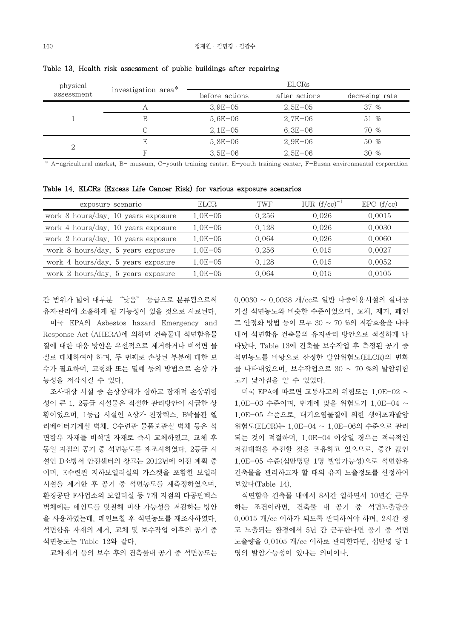| physical   | investigation area* | <b>ELCRs</b>   |               |                |  |
|------------|---------------------|----------------|---------------|----------------|--|
| assessment |                     | before actions | after actions | decresing rate |  |
|            | Α                   | $3.9E - 05$    | $2.5E - 05$   | $37 \%$        |  |
|            |                     | $5.6E - 06$    | $2.7E - 06$   | 51 %           |  |
|            | C                   | $2.1E - 0.5$   | $6.3E - 06$   | $70\%$         |  |
|            | F.                  | $5.8E - 06$    | $2.9E - 06$   | $50\%$         |  |
|            |                     | $3.5E - 06$    | $2.5E - 06$   | $30\%$         |  |

Table 13. Health risk assessment of public buildings after repairing

\* A-agricultural market, B- museum, C-youth training center, E-youth training center, F-Busan environmental corporation

Table 14. ELCRs (Excess Life Cancer Risk) for various exposure scenarios

| exposure scenario                   | <b>ELCR</b> | TWF   | IUR $(f/cc)^{-1}$ | EPC(f/cc) |
|-------------------------------------|-------------|-------|-------------------|-----------|
| work 8 hours/day, 10 years exposure | $1.0E - 05$ | 0.256 | 0.026             | 0.0015    |
| work 4 hours/day, 10 years exposure | $1.0E - 05$ | 0.128 | 0.026             | 0.0030    |
| work 2 hours/day, 10 years exposure | $1.0E - 05$ | 0.064 | 0.026             | 0.0060    |
| work 8 hours/day, 5 years exposure  | $1.0E - 05$ | 0.256 | 0.015             | 0.0027    |
| work 4 hours/day, 5 years exposure  | $1.0E - 05$ | 0.128 | 0.015             | 0.0052    |
| work 2 hours/day, 5 years exposure  | $1.0E - 05$ | 0.064 | 0.015             | 0.0105    |

간 범위가 넓어 대부분 "낮음" 등급으로 분류됨으로써 유지․관리에 소홀하게 될 가능성이 있을 것으로 사료된다.

 미국 EPA의 Asbestos hazard Emergency and Response Act (AHERA)에 의하면 건축물내 석면함유물 질에 대한 대응 방안은 우선적으로 제거하거나 비석면 물 질로 대체하여야 하며, 두 번째로 손상된 부분에 대한 보 수가 필요하며, 고형화 또는 밀폐 등의 방법으로 손상 가 능성을 저감시킬 수 있다.

황이었으며, 1등급 시설인 A상가 천장텍스, B박물관 엘 리베이터기계실 벽체, C수련관 물품보관실 벽체 등은 석 면함유 자재를 비석면 자재로 즉시 교체하였고, 교체 후 동일 지점의 공기 중 석면농도를 재조사하였다. 2등급 시 설인 D소방서 안전센터의 창고는 2012년에 이전 계획 중 이며, E수련관 지하보일러실의 가스켓을 포함한 보일러 시설을 제거한 후 공기 중 석면농도를 재측정하였으며,<br>환경공단 F사업소의 보일러실 등 7개 지점의 다공판텍스 벽체에는 페인트를 덧칠해 비산 가능성을 저감하는 방안 을 사용하였는데, 페인트칠 후 석면농도를 재조사하였다.<br>석면함유 자재의 제거, 교체 및 보수작업 이후의 공기 중 석면농도는 Table 12와 같다.

교체․제거 등의 보수 후의 건축물내 공기 중 석면농도는

0.0030 ~ 0.0038 개/cc로 일반 다중이용시설의 실내공 기질 석면농도와 비슷한 수준이었으며, 교체, 제거, 페인 트 안정화 방법 등이 모두 30 ~ 70 %의 저감효율을 나타 내어 석면함유 건축물의 유지관리 방안으로 적절하게 나 타났다. Table 13에 건축물 보수작업 후 측정된 공기 중 석면농도를 바탕으로 산정한 발암위험도(ELCR)의 변화 를 나타내었으며, 보수작업으로 30 ~ 70 %의 발암위험 도가 낮아짐을 알 수 있었다.

 조사대상 시설 중 손상상태가 심하고 잠재적 손상위험 성이 큰 1, 2등급 시설물은 적절한 관리방안이 시급한 상  $1.0E-03$  수준이며, 번개에 맞을 위험도가 1.0E-04  $\sim$ 1.0E-05 수준으로, 대기오염물질에 의한 생애초과발암 위험도(ELCR)는 1.0E-04 ~ 1.0E-06의 수준으로 관리 되는 것이 적절하며, 1.0E-04 이상일 경우는 적극적인 저감대책을 추진할 것을 권유하고 있으므로, 중간 값인 1.0E-05 수준(십만명당 1명 발암가능성)으로 석면함유 건축물을 관리하고자 할 때의 유지 노출정도를 산정하여 보았다(Table 14).

> 석면함유 건축물 내에서 8시간 일하면서 10년간 근무 하는 조건이라면, 건축물 내 공기 중 석면노출량을 0.0015 개/cc 이하가 되도록 관리하여야 하며, 2시간 정 도 노출되는 환경에서 5년 간 근무한다면 공기 중 석면 노출량을 0.0105 개/cc 이하로 관리한다면, 십만명 당 1 명의 발암가능성이 있다는 의미이다.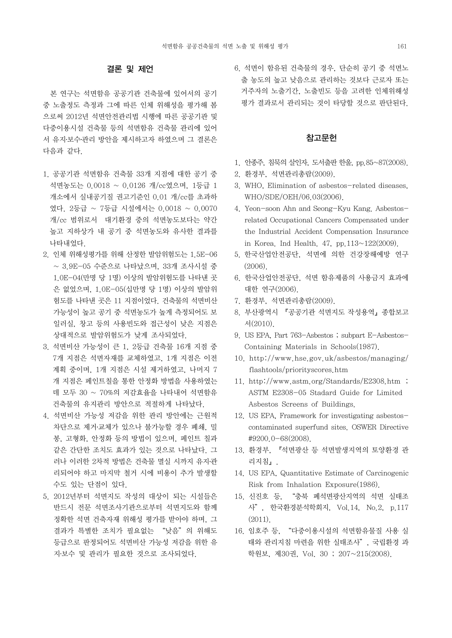# 결론 및 제언

 본 연구는 석면함유 공공기관 건축물에 있어서의 공기 중 노출정도 측정과 그에 따른 인체 위해성을 평가해 봄 으로써 2012년 석면안전관리법 시행에 따른 공공기관 및 다중이용시설 건축물 등의 석면함유 건축물 관리에 있어 서 유지․보수․관리 방안을 제시하고자 하였으며 그 결론은 다음과 같다.

- 1. 공공기관 석면함유 건축물 33개 지점에 대한 공기 중 석면농도는 0.0018 ~ 0.0126 개/cc였으며, 1등급 1 개소에서 실내공기질 권고기준인 0.01 개/cc를 초과하 였다. 2등급 ~ 7등급 시설에서는 0.0018 ~ 0.0070 개/cc 범위로서 대기환경 중의 석면농도보다는 약간 높고 지하상가 내 공기 중 석면농도와 유사한 결과를 나타내었다. 2. 인체 위해성평가를 위해 산정한 발암위험도는 1.5E-06
- ~ 3.9E-05 수준으로 나타났으며, 33개 조사시설 중 1.0E-04(만명 당 1명) 이상의 발암위험도를 나타낸 곳 은 없었으며, 1.0E-05(십만명 당 1명) 이상의 발암위 험도를 나타낸 곳은 11 지점이었다. 건축물의 석면비산 가능성이 높고 공기 중 석면농도가 높게 측정되어도 보 일러실, 창고 등의 사용빈도와 접근성이 낮은 지점은 상대적으로 발암위험도가 낮게 조사되었다.
- 3. 석면비산 가능성이 큰 1, 2등급 건축물 16개 지점 중 7개 지점은 석면자재를 교체하였고, 1개 지점은 이전 계획 중이며, 1개 지점은 시설 제거하였고, 나머지 7 개 지점은 페인트칠을 통한 안정화 방법을 사용하였는 데 모두 30 ~ 70%의 저감효율을 나타내어 석면함유 건축물의 유지관리 방안으로 적절하게 나타났다.
- 4. 석면비산 가능성 저감을 위한 관리 방안에는 근원적 차단으로 제거․교체가 있으나 불가능할 경우 폐쇄, 밀 봉, 고형화, 안정화 등의 방법이 있으며, 페인트 칠과 같은 간단한 조치도 효과가 있는 것으로 나타났다. 그 러나 이러한 2차적 방법은 건축물 멸실 시까지 유지관 리되어야 하고 마지막 철거 시에 비용이 추가 발생할 수도 있는 단점이 있다.
- 5. 2012년부터 석면지도 작성의 대상이 되는 시설들은 반드시 전문 석면조사기관으로부터 석면지도와 함께 정확한 석면 건축자재 위해성 평가를 받아야 하며, 그 결과가 특별한 조치가 필요없는 "낮음"의 위해도 등급으로 판정되어도 석면비산 가능성 저감을 위한 유 지․보수 및 관리가 필요한 것으로 조사되었다.

6. 석면이 함유된 건축물의 경우, 단순히 공기 중 석면노 출 농도의 높고 낮음으로 관리하는 것보다 근로자 또는 거주자의 노출기간, 노출빈도 등을 고려한 인체위해성 평가 결과로서 관리되는 것이 타당할 것으로 판단된다.

# 참고문헌

- 1. 안종주, 침묵의 살인자, 도서출판 한울, pp.85~87(2008).
- 2. 환경부, 석면관리총람(2009).
- 3. WHO, Elimination of asbestos-related diseases, WHO/SDE/OEH/06.03(2006).
- 4. Yeon-soon Ahn and Seong-Kyu Kang. Asbestosrelated Occupational Cancers Compensated under the Industrial Accident Compensation Insurance in Korea. Ind Health. 47, pp.113~122(2009).
- 5. 한국산업안전공단, 석면에 의한 건강장해예방 연구 (2006).
- 6. 한국산업안전공단, 석면 함유제품의 사용금지 효과에 대한 연구(2006).
- 7. 환경부, 석면관리총람(2009).
- 8. 부산광역시 『공공기관 석면지도 작성용역』종합보고 서(2010).
- 9. US EPA, Part 763-Asbestos ; subpart E-Asbestos-Containing Materials in Schools(1987).
- 10. http://www.hse.gov.uk/asbestos/managing/ flashtools/priorityscores.htm
- 11. http://www.astm.org/Standards/E2308.htm ; ASTM E2308-05 Stadard Guide for Limited Asbestos Screens of Buildings.
- 12. US EPA, Framework for investigating asbestoscontaminated superfund sites. OSWER Directive #9200.0-68(2008).
- 13. 환경부, 『석면광산 등 석면발생지역의 토양환경 관 리지침』.
- 14. US EPA, Quantitative Estimate of Carcinogenic Risk from Inhalation Exposure(1986).
- "충북 폐석면광산지역의 석면 실태조 사", 한국환경분석학회지, Vol.14, No.2, p.117  $(2011)$ .
- 16. 임호주 등, "다중이용시설의 석면함유물질 사용 실 태와 관리지침 마련을 위한 실태조사", 국립환경 과 학원보, 제30권, Vol. 30 ; 207~215(2008).